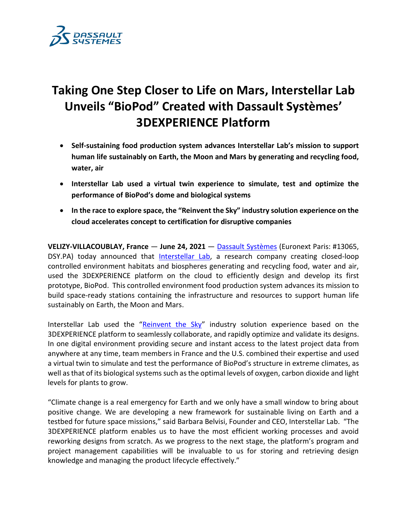

# **Taking One Step Closer to Life on Mars, Interstellar Lab Unveils "BioPod" Created with Dassault Systèmes' 3DEXPERIENCE Platform**

- **Self-sustaining food production system advances Interstellar Lab's mission to support human life sustainably on Earth, the Moon and Mars by generating and recycling food, water, air**
- **Interstellar Lab used a virtual twin experience to simulate, test and optimize the performance of BioPod's dome and biological systems**
- **In the race to explore space, the "Reinvent the Sky" industry solution experience on the cloud accelerates concept to certification for disruptive companies**

**VELIZY-VILLACOUBLAY, France** — **June 24, 2021** — [Dassault Systèmes](http://www.3ds.com/) (Euronext Paris: #13065, DSY.PA) today announced that [Interstellar Lab,](https://www.interstellarlab.com/) a research company creating closed-loop controlled environment habitats and biospheres generating and recycling food, water and air, used the 3DEXPERIENCE platform on the cloud to efficiently design and develop its first prototype, BioPod. This controlled environment food production system advances its mission to build space-ready stations containing the infrastructure and resources to support human life sustainably on Earth, the Moon and Mars.

Interstellar Lab used the "[Reinvent the Sky](https://ifwe.3ds.com/aerospace-defense/reinvent-the-sky)" industry solution experience based on the 3DEXPERIENCE platform to seamlessly collaborate, and rapidly optimize and validate its designs. In one digital environment providing secure and instant access to the latest project data from anywhere at any time, team members in France and the U.S. combined their expertise and used a virtual twin to simulate and test the performance of BioPod's structure in extreme climates, as well asthat of its biological systems such asthe optimal levels of oxygen, carbon dioxide and light levels for plants to grow.

"Climate change is a real emergency for Earth and we only have a small window to bring about positive change. We are developing a new framework for sustainable living on Earth and a testbed for future space missions," said Barbara Belvisi, Founder and CEO, Interstellar Lab. "The 3DEXPERIENCE platform enables us to have the most efficient working processes and avoid reworking designs from scratch. As we progress to the next stage, the platform's program and project management capabilities will be invaluable to us for storing and retrieving design knowledge and managing the product lifecycle effectively."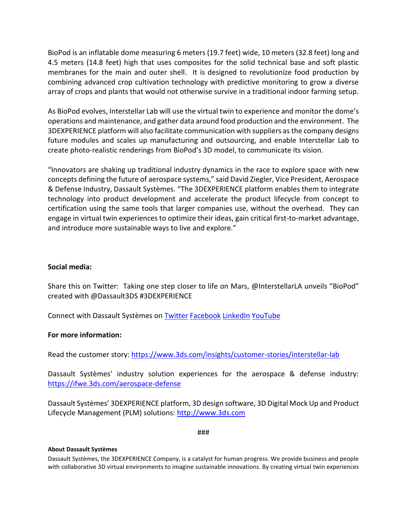BioPod is an inflatable dome measuring 6 meters (19.7 feet) wide, 10 meters (32.8 feet) long and 4.5 meters (14.8 feet) high that uses composites for the solid technical base and soft plastic membranes for the main and outer shell. It is designed to revolutionize food production by combining advanced crop cultivation technology with predictive monitoring to grow a diverse array of crops and plants that would not otherwise survive in a traditional indoor farming setup.

As BioPod evolves, Interstellar Lab will use the virtual twin to experience and monitor the dome's operations and maintenance, and gather data around food production and the environment. The 3DEXPERIENCE platform will also facilitate communication with suppliers as the company designs future modules and scales up manufacturing and outsourcing, and enable Interstellar Lab to create photo-realistic renderings from BioPod's 3D model, to communicate its vision.

"Innovators are shaking up traditional industry dynamics in the race to explore space with new concepts defining the future of aerospace systems," said David Ziegler, Vice President, Aerospace & Defense Industry, Dassault Systèmes. "The 3DEXPERIENCE platform enables them to integrate technology into product development and accelerate the product lifecycle from concept to certification using the same tools that larger companies use, without the overhead. They can engage in virtual twin experiences to optimize their ideas, gain critical first-to-market advantage, and introduce more sustainable ways to live and explore."

# **Social media:**

Share this on Twitter: Taking one step closer to life on Mars, @InterstellarLA unveils "BioPod" created with @Dassault3DS #3DEXPERIENCE

Connect with Dassault Systèmes on [Twitter](https://twitter.com/Dassault3DS) [Facebook](https://www.facebook.com/DassaultSystemes) [LinkedIn](https://www.linkedin.com/company/dassaultsystemes) [YouTube](https://www.youtube.com/DassaultSystemes)

## **For more information:**

Read the customer story: <https://www.3ds.com/insights/customer-stories/interstellar-lab>

Dassault Systèmes' industry solution experiences for the aerospace & defense industry: <https://ifwe.3ds.com/aerospace-defense>

Dassault Systèmes' 3DEXPERIENCE platform, 3D design software, 3D Digital Mock Up and Product Lifecycle Management (PLM) solutions: [http://www.3ds.com](http://www.3ds.com/)

###

## **About Dassault Systèmes**

Dassault Systèmes, the 3DEXPERIENCE Company, is a catalyst for human progress. We provide business and people with collaborative 3D virtual environments to imagine sustainable innovations. By creating virtual twin experiences